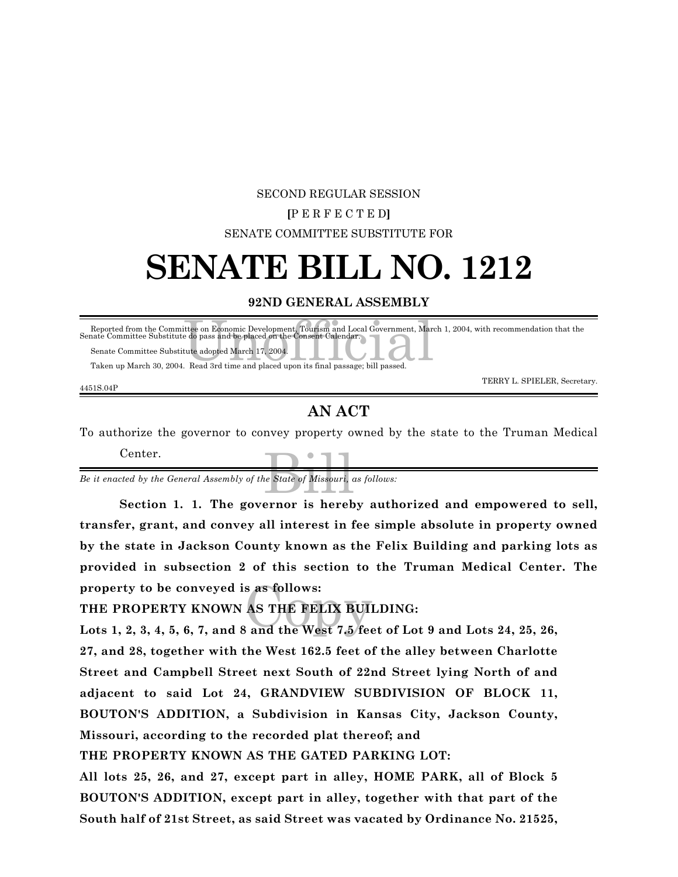### SECOND REGULAR SESSION **[**P E R F E C T E D**]** SENATE COMMITTEE SUBSTITUTE FOR

## **SENATE BILL NO. 1212**

#### **92ND GENERAL ASSEMBLY**

| Reported from the Committee on Economic Development, Tourism and Local Government, March 1, 2004, with recommendation that the<br>Senate Committee Substitute do pass and be placed on the Consent Calendar. |
|--------------------------------------------------------------------------------------------------------------------------------------------------------------------------------------------------------------|
| Senate Committee Substitute adopted March 17, 2004.                                                                                                                                                          |
| Taken up March 30, 2004. Read 3rd time and placed upon its final passage; bill passed.                                                                                                                       |
| TERRY L. SPIELER Secretary                                                                                                                                                                                   |

4451S.04P

TERRY L. SPIELER, Secretary.

#### **AN ACT**

To authorize the governor to convey property owned by the state to the Truman Medical Center.

e State of Missouri, c *Be it enacted by the General Assembly of the State of Missouri, as follows:*

**Section 1. 1. The governor is hereby authorized and empowered to sell, transfer, grant, and convey all interest in fee simple absolute in property owned by the state in Jackson County known as the Felix Building and parking lots as provided in subsection 2 of this section to the Truman Medical Center. The property to be conveyed is as follows:**

#### **THE PROPERTY KNOWN AS THE FELIX BUILDING:**

property to be conveyed is as follows:<br>THE PROPERTY KNOWN AS THE FELIX BUILDING:<br>Lots 1, 2, 3, 4, 5, 6, 7, and 8 and the West 7.5 feet of Lot 9 and Lots 24, 25, 26, **27, and 28, together with the West 162.5 feet of the alley between Charlotte Street and Campbell Street next South of 22nd Street lying North of and adjacent to said Lot 24, GRANDVIEW SUBDIVISION OF BLOCK 11, BOUTON'S ADDITION, a Subdivision in Kansas City, Jackson County, Missouri, according to the recorded plat thereof; and**

**THE PROPERTY KNOWN AS THE GATED PARKING LOT:**

**All lots 25, 26, and 27, except part in alley, HOME PARK, all of Block 5 BOUTON'S ADDITION, except part in alley, together with that part of the South half of 21st Street, as said Street was vacated by Ordinance No. 21525,**